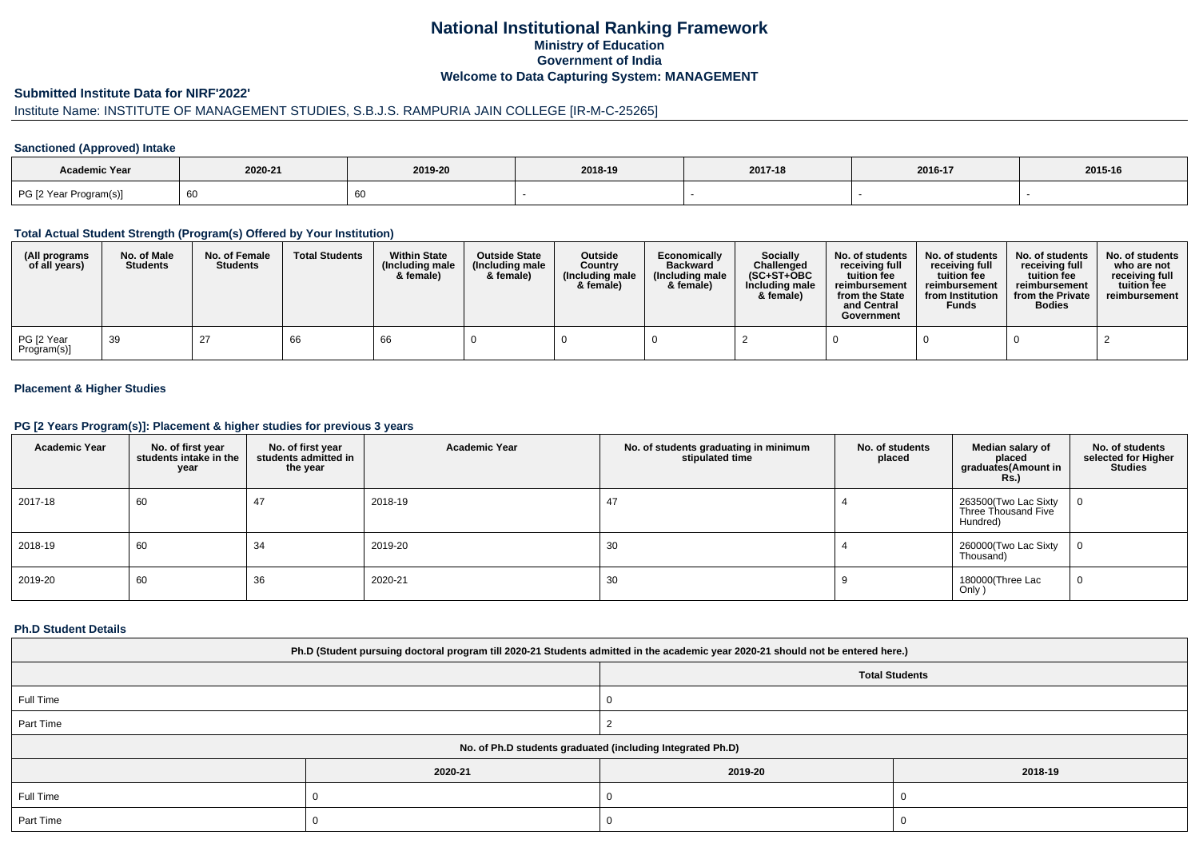## **National Institutional Ranking FrameworkMinistry of Education Government of IndiaWelcome to Data Capturing System: MANAGEMENT**

#### **Submitted Institute Data for NIRF'2022'**

# Institute Name: INSTITUTE OF MANAGEMENT STUDIES, S.B.J.S. RAMPURIA JAIN COLLEGE [IR-M-C-25265]

### **Sanctioned (Approved) Intake**

| Academic Year          |         |         |         |         |         |         |
|------------------------|---------|---------|---------|---------|---------|---------|
|                        | 2020-21 | 2019-20 | 2018-19 | 2017-18 | 2016-17 | 2015-16 |
| PG [2 Year Program(s)] | 60      |         |         |         |         |         |

#### **Total Actual Student Strength (Program(s) Offered by Your Institution)**

| (All programs<br>of all years) | No. of Male<br><b>Students</b> | No. of Female<br><b>Students</b> | <b>Total Students</b> | <b>Within State</b><br>(Including male)<br>& female) | <b>Outside State</b><br>(Including male)<br>& female) | Outside<br>Country<br>(Including male)<br>& female) | Economically<br><b>Backward</b><br>(Including male<br>& female) | Socially<br>Challenged<br>$(SC+ST+OBC$<br>Including male<br>& female) | No. of students<br>receiving full<br>tuition fee<br>reimbursement<br>from the State<br>and Central<br>Government | No. of students<br>receiving full<br>tuition fee<br>reimbursement<br>from Institution<br><b>Funds</b> | No. of students<br>receiving full<br>tuition fee<br>reimbursement<br>from the Private<br><b>Bodies</b> | No. of students<br>who are not<br>receiving full<br>tuition fee<br>reimbursement |
|--------------------------------|--------------------------------|----------------------------------|-----------------------|------------------------------------------------------|-------------------------------------------------------|-----------------------------------------------------|-----------------------------------------------------------------|-----------------------------------------------------------------------|------------------------------------------------------------------------------------------------------------------|-------------------------------------------------------------------------------------------------------|--------------------------------------------------------------------------------------------------------|----------------------------------------------------------------------------------|
| PG [2 Year<br>Program(s)]      | 39                             | 27                               | 66                    | 66                                                   |                                                       |                                                     |                                                                 |                                                                       |                                                                                                                  |                                                                                                       |                                                                                                        |                                                                                  |

## **Placement & Higher Studies**

#### **PG [2 Years Program(s)]: Placement & higher studies for previous 3 years**

| <b>Academic Year</b> | No. of first year<br>students intake in the<br>year | No. of first year<br>students admitted in<br>the year | <b>Academic Year</b> | No. of students graduating in minimum<br>stipulated time | No. of students<br>placed | Median salary of<br>placed<br>graduates(Amount in<br><b>Rs.)</b> | No. of students<br>selected for Higher<br><b>Studies</b> |
|----------------------|-----------------------------------------------------|-------------------------------------------------------|----------------------|----------------------------------------------------------|---------------------------|------------------------------------------------------------------|----------------------------------------------------------|
| 2017-18              | 60                                                  | 47                                                    | 2018-19              | 47                                                       |                           | 263500(Two Lac Sixty<br>Three Thousand Five<br>Hundred)          | 0                                                        |
| 2018-19              | 60                                                  | 34                                                    | 2019-20              | 30                                                       |                           | 260000(Two Lac Sixty<br>Thousand)                                | 0                                                        |
| 2019-20              | 60                                                  | 36                                                    | 2020-21              | 30                                                       |                           | 180000(Three Lac<br>Only)                                        | 0                                                        |

#### **Ph.D Student Details**

| Ph.D (Student pursuing doctoral program till 2020-21 Students admitted in the academic year 2020-21 should not be entered here.) |         |                       |         |  |  |  |
|----------------------------------------------------------------------------------------------------------------------------------|---------|-----------------------|---------|--|--|--|
|                                                                                                                                  |         | <b>Total Students</b> |         |  |  |  |
| Full Time                                                                                                                        |         |                       |         |  |  |  |
| Part Time                                                                                                                        |         |                       |         |  |  |  |
| No. of Ph.D students graduated (including Integrated Ph.D)                                                                       |         |                       |         |  |  |  |
|                                                                                                                                  | 2020-21 | 2019-20               | 2018-19 |  |  |  |
| Full Time                                                                                                                        |         |                       |         |  |  |  |
| Part Time                                                                                                                        |         |                       |         |  |  |  |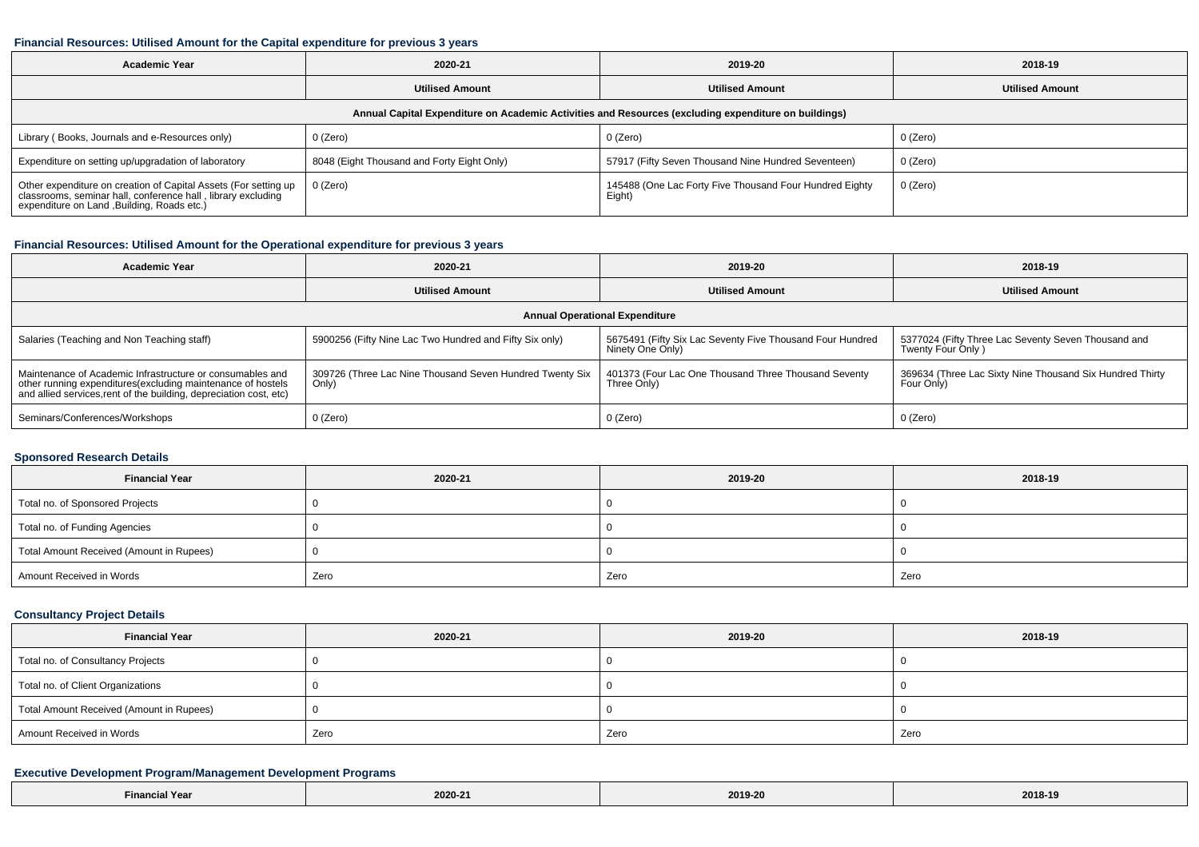## **Financial Resources: Utilised Amount for the Capital expenditure for previous 3 years**

| <b>Academic Year</b>                                                                                                                                                        | 2020-21                                    | 2019-20                                                           | 2018-19                |  |  |  |  |  |
|-----------------------------------------------------------------------------------------------------------------------------------------------------------------------------|--------------------------------------------|-------------------------------------------------------------------|------------------------|--|--|--|--|--|
|                                                                                                                                                                             | <b>Utilised Amount</b>                     | <b>Utilised Amount</b>                                            | <b>Utilised Amount</b> |  |  |  |  |  |
| Annual Capital Expenditure on Academic Activities and Resources (excluding expenditure on buildings)                                                                        |                                            |                                                                   |                        |  |  |  |  |  |
| Library (Books, Journals and e-Resources only)                                                                                                                              | $0$ (Zero)                                 | 0 (Zero)                                                          | 0 (Zero)               |  |  |  |  |  |
| Expenditure on setting up/upgradation of laboratory                                                                                                                         | 8048 (Eight Thousand and Forty Eight Only) | 57917 (Fifty Seven Thousand Nine Hundred Seventeen)               | 0 (Zero)               |  |  |  |  |  |
| Other expenditure on creation of Capital Assets (For setting up classrooms, seminar hall, conference hall, library excluding<br>expenditure on Land , Building, Roads etc.) | $0$ (Zero)                                 | 145488 (One Lac Forty Five Thousand Four Hundred Eighty<br>Eight) | 0 (Zero)               |  |  |  |  |  |

### **Financial Resources: Utilised Amount for the Operational expenditure for previous 3 years**

| <b>Academic Year</b>                                                                                                                                                                            | 2020-21                                                           | 2019-20                                                                       | 2018-19                                                                  |  |  |  |  |  |
|-------------------------------------------------------------------------------------------------------------------------------------------------------------------------------------------------|-------------------------------------------------------------------|-------------------------------------------------------------------------------|--------------------------------------------------------------------------|--|--|--|--|--|
|                                                                                                                                                                                                 | <b>Utilised Amount</b>                                            | <b>Utilised Amount</b>                                                        | <b>Utilised Amount</b>                                                   |  |  |  |  |  |
| <b>Annual Operational Expenditure</b>                                                                                                                                                           |                                                                   |                                                                               |                                                                          |  |  |  |  |  |
| Salaries (Teaching and Non Teaching staff)                                                                                                                                                      | 5900256 (Fifty Nine Lac Two Hundred and Fifty Six only)           | 5675491 (Fifty Six Lac Seventy Five Thousand Four Hundred<br>Ninety One Only) | 5377024 (Fifty Three Lac Seventy Seven Thousand and<br>Twenty Four Only) |  |  |  |  |  |
| Maintenance of Academic Infrastructure or consumables and<br>other running expenditures (excluding maintenance of hostels<br>and allied services, rent of the building, depreciation cost, etc) | 309726 (Three Lac Nine Thousand Seven Hundred Twenty Six<br>Only) | 401373 (Four Lac One Thousand Three Thousand Seventy<br>Three Only)           | 369634 (Three Lac Sixty Nine Thousand Six Hundred Thirty<br>Four Only)   |  |  |  |  |  |
| Seminars/Conferences/Workshops                                                                                                                                                                  | $0$ (Zero)                                                        | 0 (Zero)                                                                      | 0 (Zero)                                                                 |  |  |  |  |  |

### **Sponsored Research Details**

| <b>Financial Year</b>                    | 2020-21 | 2019-20 | 2018-19 |  |
|------------------------------------------|---------|---------|---------|--|
| Total no. of Sponsored Projects          |         |         |         |  |
| Total no. of Funding Agencies            |         |         |         |  |
| Total Amount Received (Amount in Rupees) |         |         |         |  |
| Amount Received in Words                 | Zero    | Zero    | Zero    |  |

### **Consultancy Project Details**

| <b>Financial Year</b>                    | 2020-21 | 2019-20 | 2018-19 |
|------------------------------------------|---------|---------|---------|
| Total no. of Consultancy Projects        |         |         |         |
| Total no. of Client Organizations        |         |         |         |
| Total Amount Received (Amount in Rupees) |         |         |         |
| Amount Received in Words                 | Zero    | Zero    | Zero    |

## **Executive Development Program/Management Development Programs**

| <b>Financial Year</b> | 2020-21<br>_____ | 2019-20 | 2018-19 |
|-----------------------|------------------|---------|---------|
|-----------------------|------------------|---------|---------|